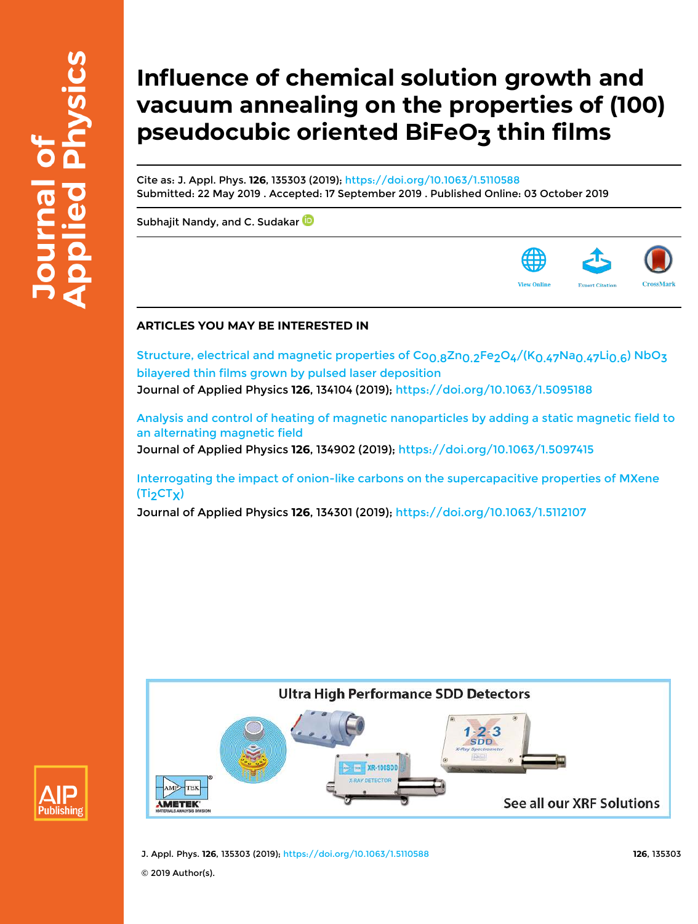# **Influence of chemical solution growth and vacuum annealing on the properties of (100)** pseudocubic oriented BiFeO<sub>3</sub> thin films

Cite as: J. Appl. Phys. **126**, 135303 (2019); https://doi.org/10.1063/1.5110588 Submitted: 22 May 2019 . Accepted: 17 September 2019 . Published Online: 03 October 2019

Subhajit Nandy, and C. Sudakar<sup>D</sup>

# **ARTICLES YOU MAY BE INTERESTED IN**

Structure, electrical and magnetic properties of Co<sub>0.8</sub>Zn<sub>0.2</sub>Fe<sub>2</sub>O<sub>4</sub>/(K<sub>0.47</sub>Na<sub>0.47</sub>Li<sub>0.6</sub>) NbO<sub>3</sub> bilayered thin films grown by pulsed laser deposition Journal of Applied Physics **126**, 134104 (2019); https://doi.org/10.1063/1.5095188

Analysis and control of heating of magnetic nanoparticles by adding a static magnetic field to an alternating magnetic field Journal of Applied Physics **126**, 134902 (2019); https://doi.org/10.1063/1.5097415

Interrogating the impact of onion-like carbons on the supercapacitive properties of MXene  $(Ti<sub>2</sub>CT<sub>X</sub>)$ 

Journal of Applied Physics **126**, 134301 (2019); https://doi.org/10.1063/1.5112107





J. Appl. Phys. **126**, 135303 (2019); https://doi.org/10.1063/1.5110588 **126**, 135303

© 2019 Author(s).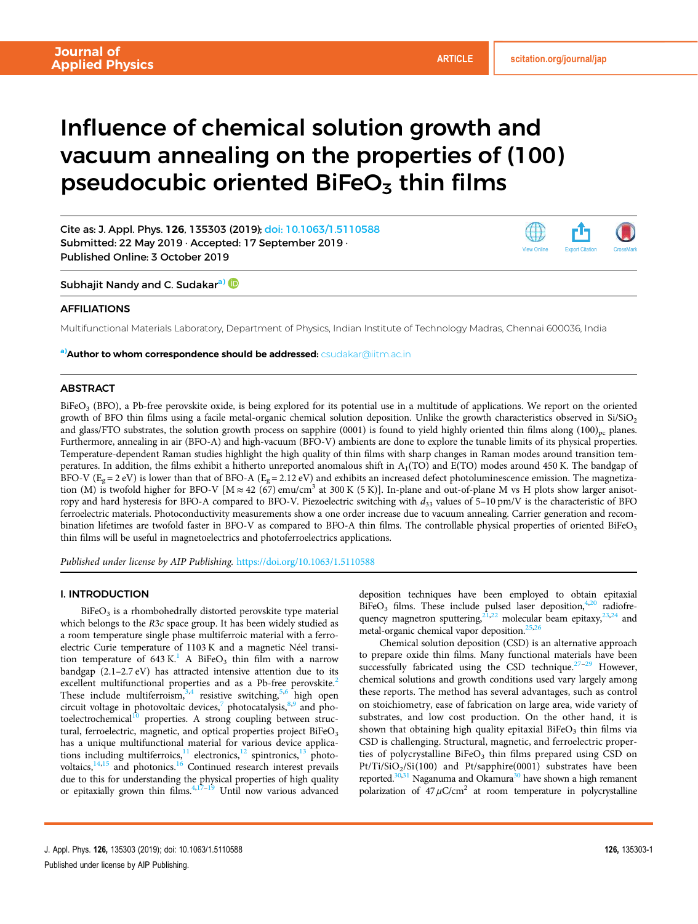# Influence of chemical solution growth and vacuum annealing on the properties of (100) pseudocubic oriented BiFeO $_3$  thin films

Cite as: J. Appl. Phys. 126, 135303 (2019); doi: 10.1063/1.5110588 Submitted: 22 May 2019 · Accepted: 17 September 2019 · Published Online: 3 October 2019



Subhajit Nandy and C. Sudakar<sup>a)</sup>

# AFFILIATIONS

Multifunctional Materials Laboratory, Department of Physics, Indian Institute of Technology Madras, Chennai 600036, India

a) Author to whom correspondence should be addressed: csudakar@iitm.ac.in

# **ABSTRACT**

BiFeO<sub>3</sub> (BFO), a Pb-free perovskite oxide, is being explored for its potential use in a multitude of applications. We report on the oriented growth of BFO thin films using a facile metal-organic chemical solution deposition. Unlike the growth characteristics observed in  $Si/SiO<sub>2</sub>$ and glass/FTO substrates, the solution growth process on sapphire (0001) is found to yield highly oriented thin films along  $(100)_{pc}$  planes. Furthermore, annealing in air (BFO-A) and high-vacuum (BFO-V) ambients are done to explore the tunable limits of its physical properties. Temperature-dependent Raman studies highlight the high quality of thin films with sharp changes in Raman modes around transition temperatures. In addition, the films exhibit a hitherto unreported anomalous shift in  $A_1(TO)$  and  $E(TO)$  modes around 450 K. The bandgap of BFO-V ( $E_g = 2$  eV) is lower than that of BFO-A ( $E_g = 2.12$  eV) and exhibits an increased defect photoluminescence emission. The magnetization (M) is twofold higher for BFO-V [M  $\approx$  42 (67) emu/cm<sup>3</sup> at 300 K (5 K)]. In-plane and out-of-plane M vs H plots show larger anisotropy and hard hysteresis for BFO-A compared to BFO-V. Piezoelectric switching with  $d_{33}$  values of 5–10 pm/V is the characteristic of BFO ferroelectric materials. Photoconductivity measurements show a one order increase due to vacuum annealing. Carrier generation and recombination lifetimes are twofold faster in BFO-V as compared to BFO-A thin films. The controllable physical properties of oriented BiFeO<sub>3</sub> thin films will be useful in magnetoelectrics and photoferroelectrics applications.

Published under license by AIP Publishing. https://doi.org/10.1063/1.5110588

## I. INTRODUCTION

 $\rm BiFeO_{3}$  is a rhombohedrally distorted perovskite type material which belongs to the R3c space group. It has been widely studied as a room temperature single phase multiferroic material with a ferroelectric Curie temperature of 1103 K and a magnetic Néel transition temperature of 643 K.<sup>1</sup> A BiFeO<sub>3</sub> thin film with a narrow bandgap (2.1–2.7 eV) has attracted intensive attention due to its excellent multifunctional properties and as a Pb-free perovskite.<sup>2</sup> These include multiferroism,  $3,4$  resistive switching,  $5,6$  high open circuit voltage in photovoltaic devices,<sup>7</sup> photocatalysis,<sup>8,9</sup> and photoelectrochemical<sup>10</sup> properties. A strong coupling between structural, ferroelectric, magnetic, and optical properties project BiFeO<sub>3</sub> has a unique multifunctional material for various device applications including multiferroics, $\frac{11}{11}$  electronics, $\frac{12}{13}$  photovoltaics, $\frac{14,15}{ }$  and photonics.<sup>16</sup> Continued research interest prevails due to this for understanding the physical properties of high quality or epitaxially grown thin films. $4,17-19$  Until now various advanced deposition techniques have been employed to obtain epitaxial  $BiFeO<sub>3</sub>$  films. These include pulsed laser deposition,  $4,20$  radiofrequency magnetron sputtering,  $21,22$  molecular beam epitaxy,  $23,24$  and metal-organic chemical vapor deposition.<sup>25,26</sup>

Chemical solution deposition (CSD) is an alternative approach to prepare oxide thin films. Many functional materials have been successfully fabricated using the CSD technique. $27-29$  However, chemical solutions and growth conditions used vary largely among these reports. The method has several advantages, such as control on stoichiometry, ease of fabrication on large area, wide variety of substrates, and low cost production. On the other hand, it is shown that obtaining high quality epitaxial BiFeO<sub>3</sub> thin films via CSD is challenging. Structural, magnetic, and ferroelectric properties of polycrystalline  $BiFeO<sub>3</sub>$  thin films prepared using CSD on Pt/Ti/SiO<sub>2</sub>/Si(100) and Pt/sapphire(0001) substrates have been reported. $30,31$  Naganuma and Okamura<sup>30</sup> have shown a high remanent polarization of  $47 \mu$ C/cm<sup>2</sup> at room temperature in polycrystalline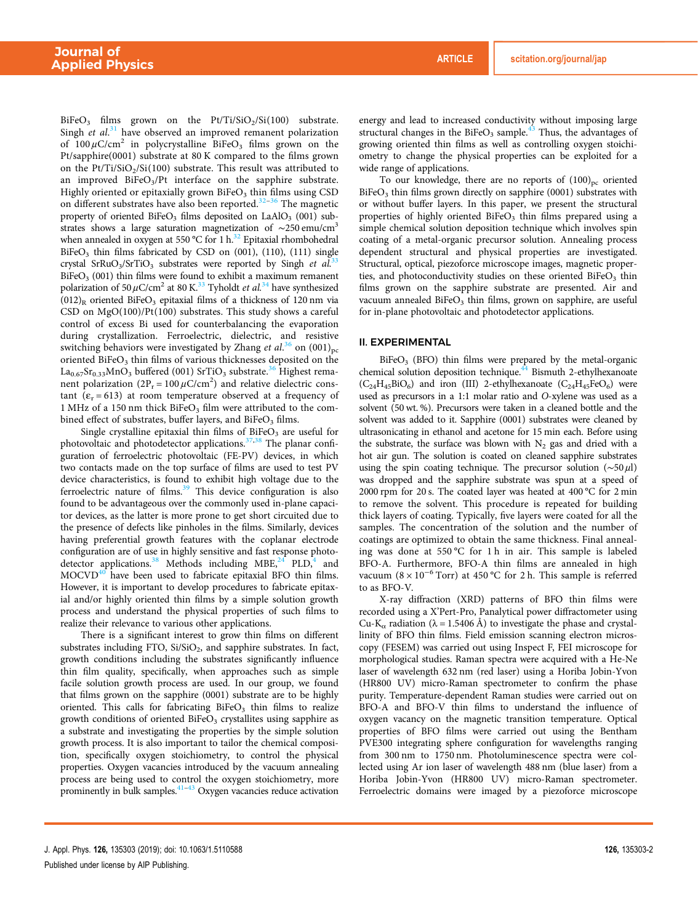$BiFeO<sub>3</sub>$  films grown on the Pt/Ti/SiO<sub>2</sub>/Si(100) substrate. Singh et  $al$ .<sup>31</sup> have observed an improved remanent polarization of  $100 \mu$ C/cm<sup>2</sup> in polycrystalline BiFeO<sub>3</sub> films grown on the Pt/sapphire(0001) substrate at 80 K compared to the films grown on the  $Pt/Ti/SiO_2/Si(100)$  substrate. This result was attributed to an improved BiFeO<sub>3</sub>/Pt interface on the sapphire substrate. Highly oriented or epitaxially grown BiFeO<sub>3</sub> thin films using CSD on different substrates have also been reported.<sup>32-36</sup> The magnetic property of oriented BiFeO<sub>3</sub> films deposited on LaAlO<sub>3</sub> (001) substrates shows a large saturation magnetization of  $\sim$ 250 emu/cm<sup>3</sup> when annealed in oxygen at 550 °C for 1 h.<sup>32</sup> Epitaxial rhombohedral BiFeO<sub>3</sub> thin films fabricated by CSD on  $(001)$ ,  $(110)$ ,  $(111)$  single crystal SrRuO<sub>3</sub>/SrTiO<sub>3</sub> substrates were reported by Singh et al.<sup>33</sup>  $B$ iFeO<sub>3</sub> (001) thin films were found to exhibit a maximum remanent polarization of 50  $\mu$ C/cm<sup>2</sup> at 80 K.<sup>33</sup> Tyholdt *et al.*<sup>34</sup> have synthesized  $(012)$ <sub>R</sub> oriented BiFeO<sub>3</sub> epitaxial films of a thickness of 120 nm via CSD on MgO(100)/Pt(100) substrates. This study shows a careful control of excess Bi used for counterbalancing the evaporation during crystallization. Ferroelectric, dielectric, and resistive switching behaviors were investigated by Zhang et  $al.^{36}$  on  $(001)_{\text{pc}}$ oriented BiFeO<sub>3</sub> thin films of various thicknesses deposited on the  $La_{0.67}Sr_{0.33}MnO_3$  buffered (001) SrTiO<sub>3</sub> substrate.<sup>36</sup> Highest remanent polarization  $(2P_r = 100 \,\mu\text{C/cm}^2)$  and relative dielectric constant  $(e_r = 613)$  at room temperature observed at a frequency of 1 MHz of a 150 nm thick  $BiFeO<sub>3</sub>$  film were attributed to the combined effect of substrates, buffer layers, and  $BiFeO<sub>3</sub>$  films.

Single crystalline epitaxial thin films of BiFe $O<sub>3</sub>$  are useful for photovoltaic and photodetector applications.<sup>37,38</sup> The planar configuration of ferroelectric photovoltaic (FE-PV) devices, in which two contacts made on the top surface of films are used to test PV device characteristics, is found to exhibit high voltage due to the ferroelectric nature of films.<sup>39</sup> This device configuration is also found to be advantageous over the commonly used in-plane capacitor devices, as the latter is more prone to get short circuited due to the presence of defects like pinholes in the films. Similarly, devices having preferential growth features with the coplanar electrode configuration are of use in highly sensitive and fast response photodetector applications.<sup>38</sup> Methods including MBE, $^{24}$  PLD,<sup>4</sup> and  $MOCVD<sup>40</sup>$  have been used to fabricate epitaxial BFO thin films. However, it is important to develop procedures to fabricate epitaxial and/or highly oriented thin films by a simple solution growth process and understand the physical properties of such films to realize their relevance to various other applications.

There is a significant interest to grow thin films on different substrates including FTO,  $Si/SiO_2$ , and sapphire substrates. In fact, growth conditions including the substrates significantly influence thin film quality, specifically, when approaches such as simple facile solution growth process are used. In our group, we found that films grown on the sapphire (0001) substrate are to be highly oriented. This calls for fabricating  $BiFeO<sub>3</sub>$  thin films to realize growth conditions of oriented BiFe $O<sub>3</sub>$  crystallites using sapphire as a substrate and investigating the properties by the simple solution growth process. It is also important to tailor the chemical composition, specifically oxygen stoichiometry, to control the physical properties. Oxygen vacancies introduced by the vacuum annealing process are being used to control the oxygen stoichiometry, more prominently in bulk samples. $41-43$  Oxygen vacancies reduce activation

energy and lead to increased conductivity without imposing large structural changes in the BiFeO<sub>3</sub> sample.<sup>43</sup> Thus, the advantages of growing oriented thin films as well as controlling oxygen stoichiometry to change the physical properties can be exploited for a wide range of applications.

To our knowledge, there are no reports of  $(100)_{pc}$  oriented BiFeO<sub>3</sub> thin films grown directly on sapphire (0001) substrates with or without buffer layers. In this paper, we present the structural properties of highly oriented  $B$ i $FeO<sub>3</sub>$  thin films prepared using a simple chemical solution deposition technique which involves spin coating of a metal-organic precursor solution. Annealing process dependent structural and physical properties are investigated. Structural, optical, piezoforce microscope images, magnetic properties, and photoconductivity studies on these oriented  $BiFeO<sub>3</sub>$  thin films grown on the sapphire substrate are presented. Air and vacuum annealed BiFeO<sub>3</sub> thin films, grown on sapphire, are useful for in-plane photovoltaic and photodetector applications.

#### II. EXPERIMENTAL

BiFeO<sub>3</sub> (BFO) thin films were prepared by the metal-organic chemical solution deposition technique.<sup>44</sup> Bismuth 2-ethylhexanoate  $(C_{24}H_{45}BiO_6)$  and iron (III) 2-ethylhexanoate  $(C_{24}H_{45}FeO_6)$  were used as precursors in a 1:1 molar ratio and O-xylene was used as a solvent (50 wt. %). Precursors were taken in a cleaned bottle and the solvent was added to it. Sapphire (0001) substrates were cleaned by ultrasonicating in ethanol and acetone for 15 min each. Before using the substrate, the surface was blown with  $N_2$  gas and dried with a hot air gun. The solution is coated on cleaned sapphire substrates using the spin coating technique. The precursor solution  $(\sim 50 \,\mu\text{I})$ was dropped and the sapphire substrate was spun at a speed of 2000 rpm for 20 s. The coated layer was heated at 400 °C for 2 min to remove the solvent. This procedure is repeated for building thick layers of coating. Typically, five layers were coated for all the samples. The concentration of the solution and the number of coatings are optimized to obtain the same thickness. Final annealing was done at 550 °C for 1 h in air. This sample is labeled BFO-A. Furthermore, BFO-A thin films are annealed in high vacuum  $(8 \times 10^{-6} \text{ Torr})$  at 450 °C for 2 h. This sample is referred to as BFO-V.

X-ray diffraction (XRD) patterns of BFO thin films were recorded using a X'Pert-Pro, Panalytical power diffractometer using Cu-K<sub>α</sub> radiation ( $\lambda$  = 1.5406 Å) to investigate the phase and crystallinity of BFO thin films. Field emission scanning electron microscopy (FESEM) was carried out using Inspect F, FEI microscope for morphological studies. Raman spectra were acquired with a He-Ne laser of wavelength 632 nm (red laser) using a Horiba Jobin-Yvon (HR800 UV) micro-Raman spectrometer to confirm the phase purity. Temperature-dependent Raman studies were carried out on BFO-A and BFO-V thin films to understand the influence of oxygen vacancy on the magnetic transition temperature. Optical properties of BFO films were carried out using the Bentham PVE300 integrating sphere configuration for wavelengths ranging from 300 nm to 1750 nm. Photoluminescence spectra were collected using Ar ion laser of wavelength 488 nm (blue laser) from a Horiba Jobin-Yvon (HR800 UV) micro-Raman spectrometer. Ferroelectric domains were imaged by a piezoforce microscope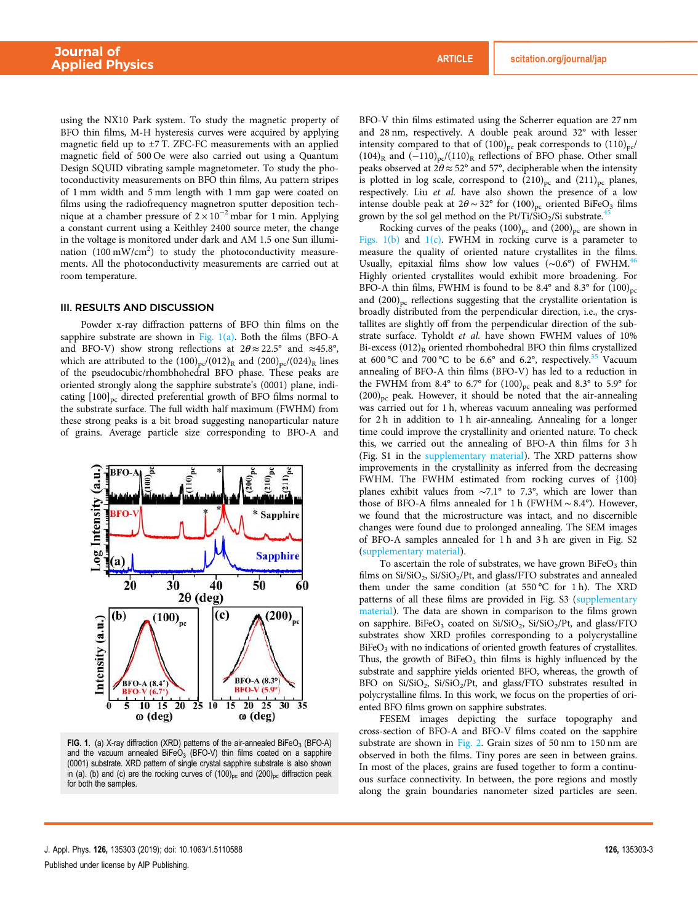using the NX10 Park system. To study the magnetic property of BFO thin films, M-H hysteresis curves were acquired by applying magnetic field up to  $\pm$ 7 T. ZFC-FC measurements with an applied magnetic field of 500 Oe were also carried out using a Quantum Design SQUID vibrating sample magnetometer. To study the photoconductivity measurements on BFO thin films, Au pattern stripes of 1 mm width and 5 mm length with 1 mm gap were coated on films using the radiofrequency magnetron sputter deposition technique at a chamber pressure of  $2 \times 10^{-2}$  mbar for 1 min. Applying a constant current using a Keithley 2400 source meter, the change in the voltage is monitored under dark and AM 1.5 one Sun illumination  $(100 \text{ mW/cm}^2)$  to study the photoconductivity measurements. All the photoconductivity measurements are carried out at room temperature.

#### III. RESULTS AND DISCUSSION

Powder x-ray diffraction patterns of BFO thin films on the sapphire substrate are shown in Fig. 1(a). Both the films (BFO-A and BFO-V) show strong reflections at  $2\theta \approx 22.5^{\circ}$  and  $\approx 45.8^{\circ}$ , which are attributed to the  $(100)_{pc}/(012)_{R}$  and  $(200)_{pc}/(024)_{R}$  lines of the pseudocubic/rhombhohedral BFO phase. These peaks are oriented strongly along the sapphire substrate's (0001) plane, indicating  $[100]_{pc}$  directed preferential growth of BFO films normal to the substrate surface. The full width half maximum (FWHM) from these strong peaks is a bit broad suggesting nanoparticular nature of grains. Average particle size corresponding to BFO-A and



**FIG. 1.** (a) X-ray diffraction (XRD) patterns of the air-annealed BiFeO<sub>3</sub> (BFO-A) and the vacuum annealed  $B$ iFe $\dot{\Omega}_3$  (BFO-V) thin films coated on a sapphire (0001) substrate. XRD pattern of single crystal sapphire substrate is also shown in (a). (b) and (c) are the rocking curves of  $(100)_{pc}$  and  $(200)_{pc}$  diffraction peak for both the samples.

BFO-V thin films estimated using the Scherrer equation are 27 nm and 28 nm, respectively. A double peak around 32° with lesser intensity compared to that of  $(100)_{pc}$  peak corresponds to  $(110)_{pc}$ (104)<sub>R</sub> and  $(-110)_{pc}/(110)_{R}$  reflections of BFO phase. Other small peaks observed at  $2\theta \approx 52^{\circ}$  and 57°, decipherable when the intensity is plotted in log scale, correspond to  $(210)_{pc}$  and  $(211)_{pc}$  planes, respectively. Liu et al. have also shown the presence of a low intense double peak at  $2\theta \sim 32^{\circ}$  for  $(100)_{\text{pc}}$  oriented BiFeO<sub>3</sub> films grown by the sol gel method on the Pt/Ti/SiO<sub>2</sub>/Si substrate.<sup>45</sup>

Rocking curves of the peaks  $(100)_{pc}$  and  $(200)_{pc}$  are shown in Figs.  $1(b)$  and  $1(c)$ . FWHM in rocking curve is a parameter to measure the quality of oriented nature crystallites in the films. Usually, epitaxial films show low values ( $\sim 0.6^{\circ}$ ) of FWHM.<sup>46</sup> Highly oriented crystallites would exhibit more broadening. For BFO-A thin films, FWHM is found to be  $8.4^{\circ}$  and  $8.3^{\circ}$  for  $(100)_{nc}$ and  $(200)_{pc}$  reflections suggesting that the crystallite orientation is broadly distributed from the perpendicular direction, i.e., the crystallites are slightly off from the perpendicular direction of the substrate surface. Tyholdt et al. have shown FWHM values of 10% Bi-excess  $(012)_R$  oriented rhombohedral BFO thin films crystallized at 600 °C and 700 °C to be 6.6° and 6.2°, respectively.<sup>35</sup> Vacuum annealing of BFO-A thin films (BFO-V) has led to a reduction in the FWHM from 8.4° to 6.7° for  $(100)_{pc}$  peak and 8.3° to 5.9° for  $(200)_{\text{pc}}$  peak. However, it should be noted that the air-annealing was carried out for 1 h, whereas vacuum annealing was performed for 2 h in addition to 1 h air-annealing. Annealing for a longer time could improve the crystallinity and oriented nature. To check this, we carried out the annealing of BFO-A thin films for 3 h (Fig. S1 in the supplementary material). The XRD patterns show improvements in the crystallinity as inferred from the decreasing FWHM. The FWHM estimated from rocking curves of {100} planes exhibit values from ∼7.1° to 7.3°, which are lower than those of BFO-A films annealed for 1 h (FWHM ∼ 8.4°). However, we found that the microstructure was intact, and no discernible changes were found due to prolonged annealing. The SEM images of BFO-A samples annealed for 1 h and 3 h are given in Fig. S2 (supplementary material).

To ascertain the role of substrates, we have grown  $\mathrm{BiFeO}_{3}$  thin films on Si/SiO<sub>2</sub>, Si/SiO<sub>2</sub>/Pt, and glass/FTO substrates and annealed them under the same condition (at 550 °C for 1 h). The XRD patterns of all these films are provided in Fig. S3 (supplementary material). The data are shown in comparison to the films grown on sapphire. BiFeO<sub>3</sub> coated on Si/SiO<sub>2</sub>, Si/SiO<sub>2</sub>/Pt, and glass/FTO substrates show XRD profiles corresponding to a polycrystalline BiFeO<sub>3</sub> with no indications of oriented growth features of crystallites. Thus, the growth of BiFeO<sub>3</sub> thin films is highly influenced by the substrate and sapphire yields oriented BFO, whereas, the growth of BFO on Si/SiO<sub>2</sub>, Si/SiO<sub>2</sub>/Pt, and glass/FTO substrates resulted in polycrystalline films. In this work, we focus on the properties of oriented BFO films grown on sapphire substrates.

FESEM images depicting the surface topography and cross-section of BFO-A and BFO-V films coated on the sapphire substrate are shown in Fig. 2. Grain sizes of 50 nm to 150 nm are observed in both the films. Tiny pores are seen in between grains. In most of the places, grains are fused together to form a continuous surface connectivity. In between, the pore regions and mostly along the grain boundaries nanometer sized particles are seen.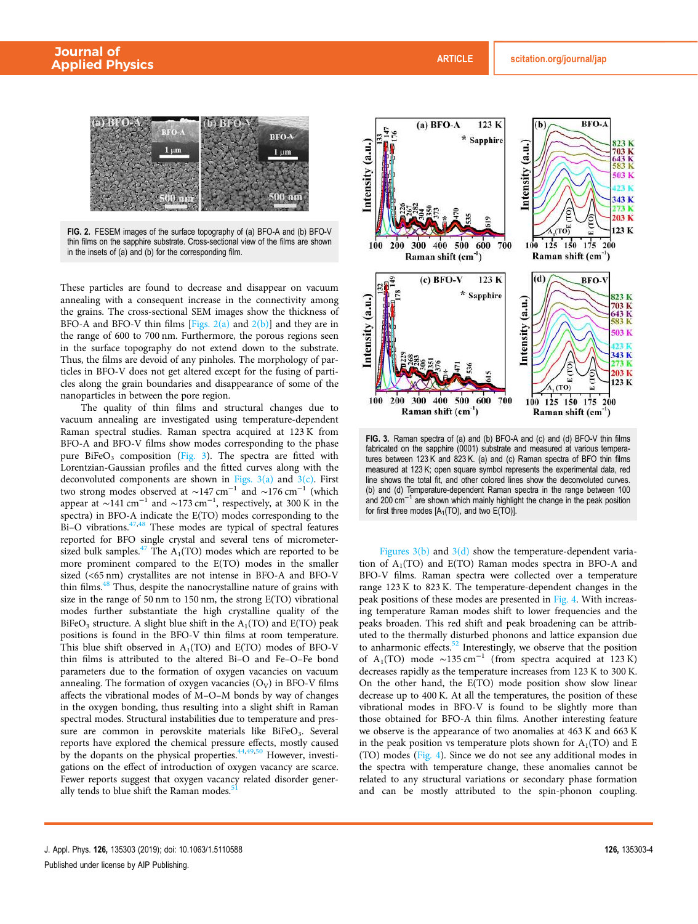

FIG. 2. FESEM images of the surface topography of (a) BFO-A and (b) BFO-V thin films on the sapphire substrate. Cross-sectional view of the films are shown in the insets of (a) and (b) for the corresponding film.

These particles are found to decrease and disappear on vacuum annealing with a consequent increase in the connectivity among the grains. The cross-sectional SEM images show the thickness of BFO-A and BFO-V thin films [Figs.  $2(a)$  and  $2(b)$ ] and they are in the range of 600 to 700 nm. Furthermore, the porous regions seen in the surface topography do not extend down to the substrate. Thus, the films are devoid of any pinholes. The morphology of particles in BFO-V does not get altered except for the fusing of particles along the grain boundaries and disappearance of some of the nanoparticles in between the pore region.

The quality of thin films and structural changes due to vacuum annealing are investigated using temperature-dependent Raman spectral studies. Raman spectra acquired at 123 K from BFO-A and BFO-V films show modes corresponding to the phase pure BiFe $O_3$  composition (Fig. 3). The spectra are fitted with Lorentzian-Gaussian profiles and the fitted curves along with the deconvoluted components are shown in Figs.  $3(a)$  and  $3(c)$ . First two strong modes observed at  $\sim$ 147 cm<sup>-1</sup> and  $\sim$ 176 cm<sup>-1</sup> (which appear at ∼141 cm<sup>-1</sup> and ∼173 cm<sup>-1</sup>, respectively, at 300 K in the spectra) in BFO-A indicate the E(TO) modes corresponding to the  $Bi-O$  vibrations.<sup>47,48</sup> These modes are typical of spectral features reported for BFO single crystal and several tens of micrometersized bulk samples.<sup>47</sup> The  $A_1(TO)$  modes which are reported to be more prominent compared to the E(TO) modes in the smaller sized (<65 nm) crystallites are not intense in BFO-A and BFO-V thin films. $48$  Thus, despite the nanocrystalline nature of grains with size in the range of 50 nm to 150 nm, the strong E(TO) vibrational modes further substantiate the high crystalline quality of the BiFeO<sub>3</sub> structure. A slight blue shift in the  $A_1(TO)$  and E(TO) peak positions is found in the BFO-V thin films at room temperature. This blue shift observed in  $A_1(TO)$  and  $E(TO)$  modes of BFO-V thin films is attributed to the altered Bi–O and Fe–O–Fe bond parameters due to the formation of oxygen vacancies on vacuum annealing. The formation of oxygen vacancies  $(O_V)$  in BFO-V films affects the vibrational modes of M–O–M bonds by way of changes in the oxygen bonding, thus resulting into a slight shift in Raman spectral modes. Structural instabilities due to temperature and pressure are common in perovskite materials like BiFeO<sub>3</sub>. Several reports have explored the chemical pressure effects, mostly caused by the dopants on the physical properties.<sup>44,49,50</sup> However, investigations on the effect of introduction of oxygen vacancy are scarce. Fewer reports suggest that oxygen vacancy related disorder generally tends to blue shift the Raman modes.<sup>5</sup>



FIG. 3. Raman spectra of (a) and (b) BFO-A and (c) and (d) BFO-V thin films fabricated on the sapphire (0001) substrate and measured at various temperatures between 123 K and 823 K. (a) and (c) Raman spectra of BFO thin films measured at 123 K; open square symbol represents the experimental data, red line shows the total fit, and other colored lines show the deconvoluted curves. (b) and (d) Temperature-dependent Raman spectra in the range between 100 and 200 cm<sup>-1</sup> are shown which mainly highlight the change in the peak position and 200 cm<sup>-1</sup> are shown which mainly highlight the change in the peak position for first three modes  $[A_1(TO)]$ , and two  $E(TO)]$ .

Figures  $3(b)$  and  $3(d)$  show the temperature-dependent variation of  $A_1(TO)$  and  $E(TO)$  Raman modes spectra in BFO-A and BFO-V films. Raman spectra were collected over a temperature range 123 K to 823 K. The temperature-dependent changes in the peak positions of these modes are presented in Fig. 4. With increasing temperature Raman modes shift to lower frequencies and the peaks broaden. This red shift and peak broadening can be attributed to the thermally disturbed phonons and lattice expansion due to anharmonic effects. $52$  Interestingly, we observe that the position of  $A_1(TO)$  mode ~135 cm<sup>-1</sup> (from spectra acquired at 123 K) decreases rapidly as the temperature increases from 123 K to 300 K. On the other hand, the E(TO) mode position show slow linear decrease up to 400 K. At all the temperatures, the position of these vibrational modes in BFO-V is found to be slightly more than those obtained for BFO-A thin films. Another interesting feature we observe is the appearance of two anomalies at 463 K and 663 K in the peak position vs temperature plots shown for  $A_1(TO)$  and E (TO) modes (Fig. 4). Since we do not see any additional modes in the spectra with temperature change, these anomalies cannot be related to any structural variations or secondary phase formation and can be mostly attributed to the spin-phonon coupling.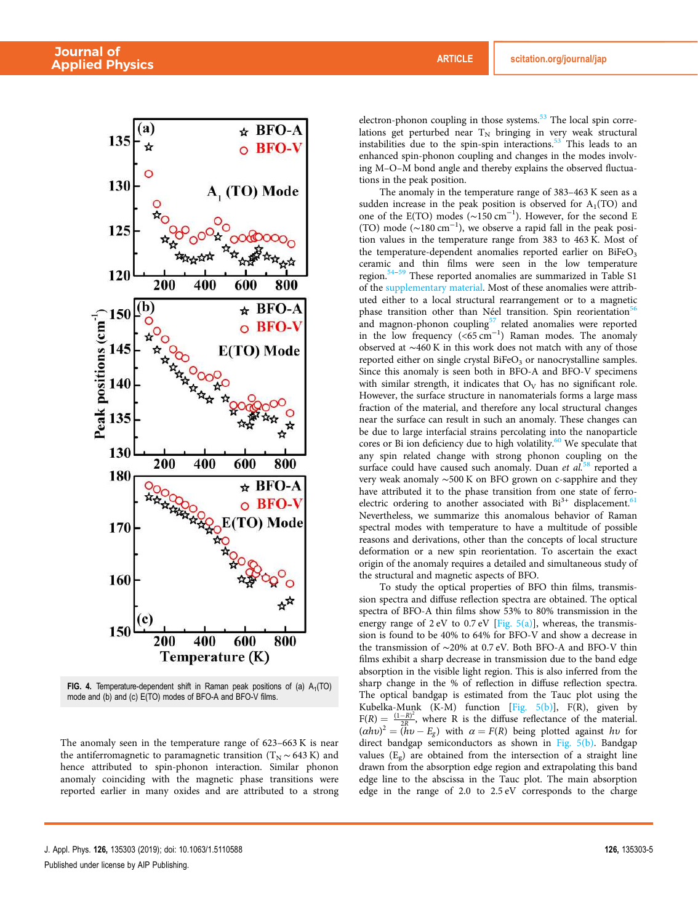

**FIG. 4.** Temperature-dependent shift in Raman peak positions of (a)  $A_1(TO)$ mode and (b) and (c) E(TO) modes of BFO-A and BFO-V films.

The anomaly seen in the temperature range of 623–663 K is near the antiferromagnetic to paramagnetic transition ( $T_N \sim 643$  K) and hence attributed to spin-phonon interaction. Similar phonon anomaly coinciding with the magnetic phase transitions were reported earlier in many oxides and are attributed to a strong electron-phonon coupling in those systems.<sup>53</sup> The local spin correlations get perturbed near  $T_N$  bringing in very weak structural instabilities due to the spin-spin interactions.<sup>53</sup> This leads to an enhanced spin-phonon coupling and changes in the modes involving M–O–M bond angle and thereby explains the observed fluctuations in the peak position.

The anomaly in the temperature range of 383–463 K seen as a sudden increase in the peak position is observed for  $A_1(TO)$  and one of the E(TO) modes  $(\sim 150 \text{ cm}^{-1})$ . However, for the second E (TO) mode ( $\sim$ 180 cm<sup>-1</sup>), we observe a rapid fall in the peak position values in the temperature range from 383 to 463 K. Most of the temperature-dependent anomalies reported earlier on  $BiFeO<sub>3</sub>$ ceramic and thin films were seen in the low temperature region.54–<sup>59</sup> These reported anomalies are summarized in Table S1 of the supplementary material. Most of these anomalies were attributed either to a local structural rearrangement or to a magnetic phase transition other than Néel transition. Spin reorientation<sup>56</sup> and magnon-phonon coupling $57$  related anomalies were reported in the low frequency  $(<65 \text{ cm}^{-1})$  Raman modes. The anomaly observed at ∼460 K in this work does not match with any of those reported either on single crystal  $BiFeO<sub>3</sub>$  or nanocrystalline samples. Since this anomaly is seen both in BFO-A and BFO-V specimens with similar strength, it indicates that  $O_V$  has no significant role. However, the surface structure in nanomaterials forms a large mass fraction of the material, and therefore any local structural changes near the surface can result in such an anomaly. These changes can be due to large interfacial strains percolating into the nanoparticle cores or Bi ion deficiency due to high volatility. $60$  We speculate that any spin related change with strong phonon coupling on the surface could have caused such anomaly. Duan et  $al$ <sup>58</sup> reported a very weak anomaly ∼500 K on BFO grown on c-sapphire and they have attributed it to the phase transition from one state of ferroelectric ordering to another associated with  $Bi^{3+}$  displacement.<sup>61</sup> Nevertheless, we summarize this anomalous behavior of Raman spectral modes with temperature to have a multitude of possible reasons and derivations, other than the concepts of local structure deformation or a new spin reorientation. To ascertain the exact origin of the anomaly requires a detailed and simultaneous study of the structural and magnetic aspects of BFO.

To study the optical properties of BFO thin films, transmission spectra and diffuse reflection spectra are obtained. The optical spectra of BFO-A thin films show 53% to 80% transmission in the energy range of  $2 \text{ eV}$  to  $0.7 \text{ eV}$  [Fig.  $5(a)$ ], whereas, the transmission is found to be 40% to 64% for BFO-V and show a decrease in the transmission of ∼20% at 0.7 eV. Both BFO-A and BFO-V thin films exhibit a sharp decrease in transmission due to the band edge absorption in the visible light region. This is also inferred from the sharp change in the % of reflection in diffuse reflection spectra. The optical bandgap is estimated from the Tauc plot using the Kubelka-Munk (K-M) function [Fig. 5(b)], F(R), given by  $F(R) = \frac{(1-R)^2}{2R}$  $\frac{(-R)^2}{2R}$ , where R is the diffuse reflectance of the material.  $(\alpha h v)^2 = (h v - E_g)$  with  $\alpha = F(R)$  being plotted against hv for direct bandgap semiconductors as shown in Fig. 5(b). Bandgap values (E<sup>g</sup> ) are obtained from the intersection of a straight line drawn from the absorption edge region and extrapolating this band edge line to the abscissa in the Tauc plot. The main absorption edge in the range of 2.0 to 2.5 eV corresponds to the charge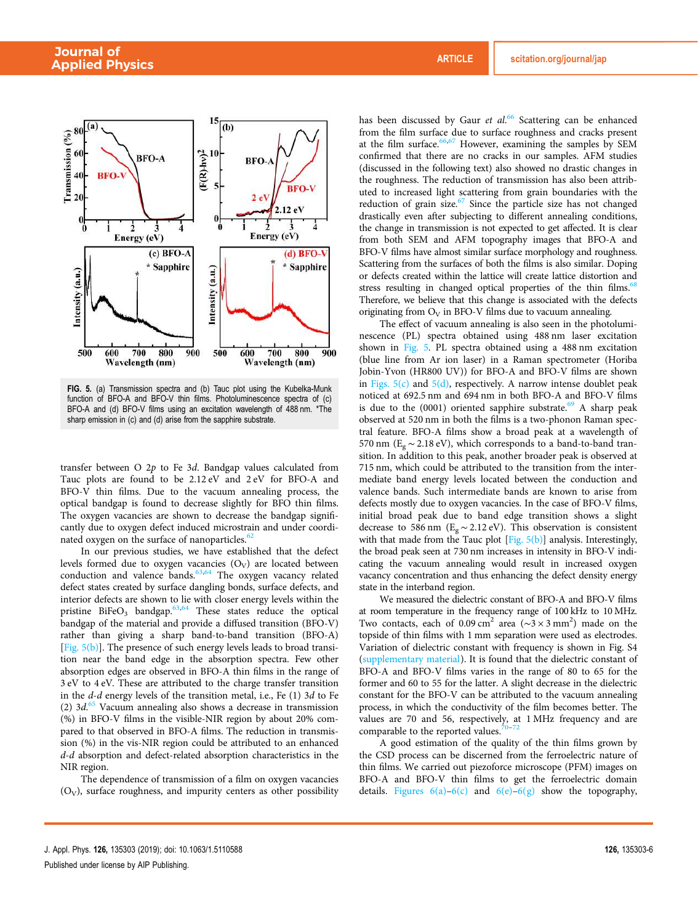

FIG. 5. (a) Transmission spectra and (b) Tauc plot using the Kubelka-Munk function of BFO-A and BFO-V thin films. Photoluminescence spectra of (c) BFO-A and (d) BFO-V films using an excitation wavelength of 488 nm. \*The sharp emission in (c) and (d) arise from the sapphire substrate.

transfer between  $O$  2p to Fe 3d. Bandgap values calculated from Tauc plots are found to be 2.12 eV and 2 eV for BFO-A and BFO-V thin films. Due to the vacuum annealing process, the optical bandgap is found to decrease slightly for BFO thin films. The oxygen vacancies are shown to decrease the bandgap significantly due to oxygen defect induced microstrain and under coordinated oxygen on the surface of nanoparticles.<sup>62</sup>

In our previous studies, we have established that the defect levels formed due to oxygen vacancies  $(O_V)$  are located between conduction and valence bands. $63,64$  The oxygen vacancy related defect states created by surface dangling bonds, surface defects, and interior defects are shown to lie with closer energy levels within the pristine BiFeO<sub>3</sub> bandgap.<sup>63,64</sup> These states reduce the optical bandgap of the material and provide a diffused transition (BFO-V) rather than giving a sharp band-to-band transition (BFO-A) [Fig. 5(b)]. The presence of such energy levels leads to broad transition near the band edge in the absorption spectra. Few other absorption edges are observed in BFO-A thin films in the range of 3 eV to 4 eV. These are attributed to the charge transfer transition in the  $d$ - $d$  energy levels of the transition metal, i.e., Fe  $(1)$  3 $d$  to Fe (2)  $3d<sup>65</sup>$  Vacuum annealing also shows a decrease in transmission (%) in BFO-V films in the visible-NIR region by about 20% compared to that observed in BFO-A films. The reduction in transmission (%) in the vis-NIR region could be attributed to an enhanced d-d absorption and defect-related absorption characteristics in the NIR region.

The dependence of transmission of a film on oxygen vacancies  $(O_V)$ , surface roughness, and impurity centers as other possibility

has been discussed by Gaur et al.<sup>66</sup> Scattering can be enhanced from the film surface due to surface roughness and cracks present at the film surface.<sup>66,67</sup> However, examining the samples by SEM confirmed that there are no cracks in our samples. AFM studies (discussed in the following text) also showed no drastic changes in the roughness. The reduction of transmission has also been attributed to increased light scattering from grain boundaries with the reduction of grain size. $67$  Since the particle size has not changed drastically even after subjecting to different annealing conditions, the change in transmission is not expected to get affected. It is clear from both SEM and AFM topography images that BFO-A and BFO-V films have almost similar surface morphology and roughness. Scattering from the surfaces of both the films is also similar. Doping or defects created within the lattice will create lattice distortion and stress resulting in changed optical properties of the thin films.<sup>68</sup> Therefore, we believe that this change is associated with the defects originating from  $O_V$  in BFO-V films due to vacuum annealing.

The effect of vacuum annealing is also seen in the photoluminescence (PL) spectra obtained using 488 nm laser excitation shown in Fig. 5. PL spectra obtained using a 488 nm excitation (blue line from Ar ion laser) in a Raman spectrometer (Horiba Jobin-Yvon (HR800 UV)) for BFO-A and BFO-V films are shown in Figs.  $5(c)$  and  $5(d)$ , respectively. A narrow intense doublet peak noticed at 692.5 nm and 694 nm in both BFO-A and BFO-V films is due to the  $(0001)$  oriented sapphire substrate.<sup>69</sup> A sharp peak observed at 520 nm in both the films is a two-phonon Raman spectral feature. BFO-A films show a broad peak at a wavelength of 570 nm ( $E_g \sim 2.18$  eV), which corresponds to a band-to-band transition. In addition to this peak, another broader peak is observed at 715 nm, which could be attributed to the transition from the intermediate band energy levels located between the conduction and valence bands. Such intermediate bands are known to arise from defects mostly due to oxygen vacancies. In the case of BFO-V films, initial broad peak due to band edge transition shows a slight decrease to 586 nm ( $E_g \sim 2.12 \text{ eV}$ ). This observation is consistent with that made from the Tauc plot [Fig. 5(b)] analysis. Interestingly, the broad peak seen at 730 nm increases in intensity in BFO-V indicating the vacuum annealing would result in increased oxygen vacancy concentration and thus enhancing the defect density energy state in the interband region.

We measured the dielectric constant of BFO-A and BFO-V films at room temperature in the frequency range of 100 kHz to 10 MHz. Two contacts, each of 0.09 cm<sup>2</sup> area ( $\sim$ 3 × 3 mm<sup>2</sup>) made on the topside of thin films with 1 mm separation were used as electrodes. Variation of dielectric constant with frequency is shown in Fig. S4 (supplementary material). It is found that the dielectric constant of BFO-A and BFO-V films varies in the range of 80 to 65 for the former and 60 to 55 for the latter. A slight decrease in the dielectric constant for the BFO-V can be attributed to the vacuum annealing process, in which the conductivity of the film becomes better. The values are 70 and 56, respectively, at 1 MHz frequency and are comparable to the reported values.<sup>70</sup>

A good estimation of the quality of the thin films grown by the CSD process can be discerned from the ferroelectric nature of thin films. We carried out piezoforce microscope (PFM) images on BFO-A and BFO-V thin films to get the ferroelectric domain details. Figures  $6(a)$ – $6(c)$  and  $6(e)$ – $6(g)$  show the topography,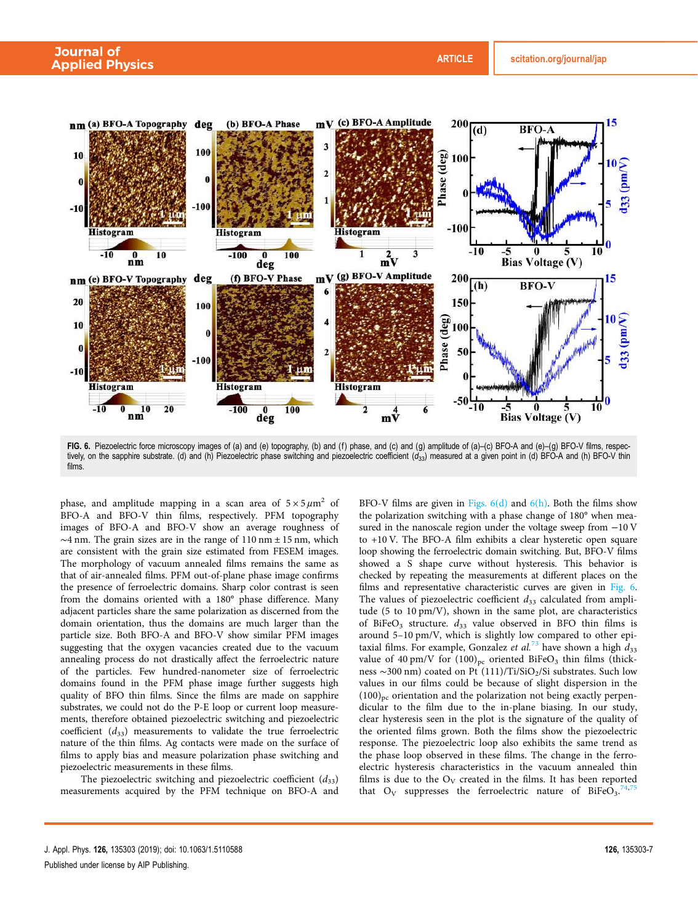

FIG. 6. Piezoelectric force microscopy images of (a) and (e) topography, (b) and (f) phase, and (c) and (g) amplitude of (a)–(c) BFO-A and (e)–(g) BFO-V films, respectively, on the sapphire substrate. (d) and (h) Piezoelectric phase switching and piezoelectric coefficient  $(d_{33})$  measured at a given point in (d) BFO-A and (h) BFO-V thin films.

phase, and amplitude mapping in a scan area of  $5 \times 5 \mu m^2$  of BFO-A and BFO-V thin films, respectively. PFM topography images of BFO-A and BFO-V show an average roughness of  $\sim$ 4 nm. The grain sizes are in the range of 110 nm  $\pm$  15 nm, which are consistent with the grain size estimated from FESEM images. The morphology of vacuum annealed films remains the same as that of air-annealed films. PFM out-of-plane phase image confirms the presence of ferroelectric domains. Sharp color contrast is seen from the domains oriented with a 180° phase difference. Many adjacent particles share the same polarization as discerned from the domain orientation, thus the domains are much larger than the particle size. Both BFO-A and BFO-V show similar PFM images suggesting that the oxygen vacancies created due to the vacuum annealing process do not drastically affect the ferroelectric nature of the particles. Few hundred-nanometer size of ferroelectric domains found in the PFM phase image further suggests high quality of BFO thin films. Since the films are made on sapphire substrates, we could not do the P-E loop or current loop measurements, therefore obtained piezoelectric switching and piezoelectric coefficient  $(d_{33})$  measurements to validate the true ferroelectric nature of the thin films. Ag contacts were made on the surface of films to apply bias and measure polarization phase switching and piezoelectric measurements in these films.

The piezoelectric switching and piezoelectric coefficient  $(d_{33})$ measurements acquired by the PFM technique on BFO-A and BFO-V films are given in Figs.  $6(d)$  and  $6(h)$ . Both the films show the polarization switching with a phase change of 180° when measured in the nanoscale region under the voltage sweep from −10 V to +10 V. The BFO-A film exhibits a clear hysteretic open square loop showing the ferroelectric domain switching. But, BFO-V films showed a S shape curve without hysteresis. This behavior is checked by repeating the measurements at different places on the films and representative characteristic curves are given in Fig. 6. The values of piezoelectric coefficient  $d_{33}$  calculated from amplitude (5 to 10 pm/V), shown in the same plot, are characteristics of BiFeO<sub>3</sub> structure.  $d_{33}$  value observed in BFO thin films is around 5–10 pm/V, which is slightly low compared to other epitaxial films. For example, Gonzalez et al.<sup>73</sup> have shown a high  $d_{33}$ value of 40 pm/V for  $(100)_{pc}$  oriented BiFeO<sub>3</sub> thin films (thickness ~300 nm) coated on Pt (111)/Ti/SiO2/Si substrates. Such low values in our films could be because of slight dispersion in the  $(100)_{pc}$  orientation and the polarization not being exactly perpendicular to the film due to the in-plane biasing. In our study, clear hysteresis seen in the plot is the signature of the quality of the oriented films grown. Both the films show the piezoelectric response. The piezoelectric loop also exhibits the same trend as the phase loop observed in these films. The change in the ferroelectric hysteresis characteristics in the vacuum annealed thin films is due to the  $O_V$  created in the films. It has been reported that  $O_V$  suppresses the ferroelectric nature of BiFeO<sub>3</sub>.<sup>74,75</sup>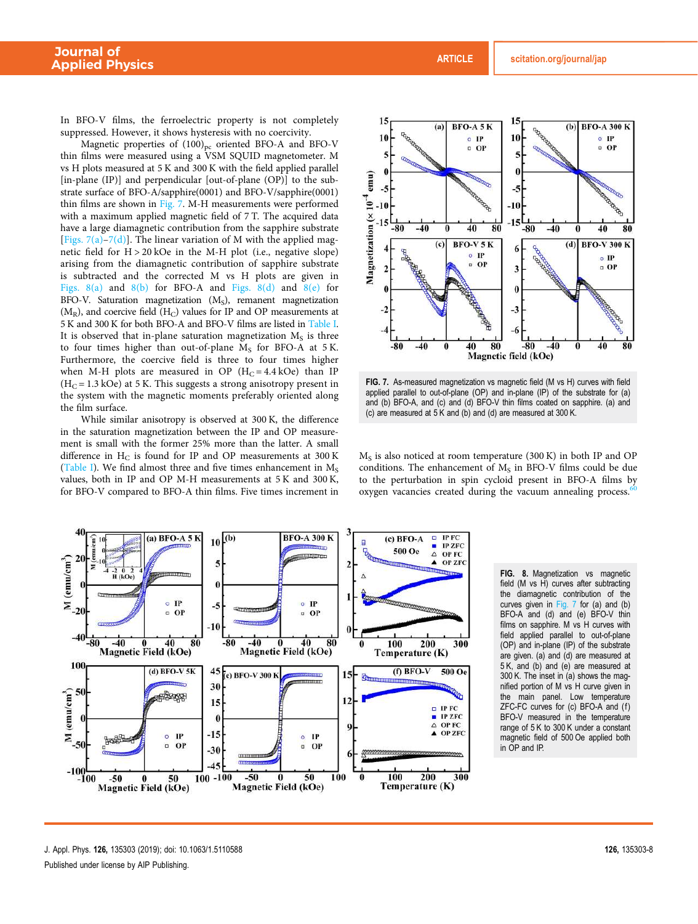In BFO-V films, the ferroelectric property is not completely suppressed. However, it shows hysteresis with no coercivity.

Magnetic properties of  $(100)_{pc}$  oriented BFO-A and BFO-V thin films were measured using a VSM SQUID magnetometer. M vs H plots measured at 5 K and 300 K with the field applied parallel [in-plane (IP)] and perpendicular [out-of-plane (OP)] to the substrate surface of BFO-A/sapphire(0001) and BFO-V/sapphire(0001) thin films are shown in Fig. 7. M-H measurements were performed with a maximum applied magnetic field of 7 T. The acquired data have a large diamagnetic contribution from the sapphire substrate [Figs.  $7(a)$ – $7(d)$ ]. The linear variation of M with the applied magnetic field for H > 20 kOe in the M-H plot (i.e., negative slope) arising from the diamagnetic contribution of sapphire substrate is subtracted and the corrected M vs H plots are given in Figs.  $8(a)$  and  $8(b)$  for BFO-A and Figs.  $8(d)$  and  $8(e)$  for BFO-V. Saturation magnetization (M<sub>S</sub>), remanent magnetization  $(M_R)$ , and coercive field  $(H_C)$  values for IP and OP measurements at 5 K and 300 K for both BFO-A and BFO-V films are listed in Table I. It is observed that in-plane saturation magnetization  $M_S$  is three to four times higher than out-of-plane  $M_S$  for BFO-A at 5K. Furthermore, the coercive field is three to four times higher when M-H plots are measured in OP  $(H<sub>C</sub> = 4.4 kOe)$  than IP  $(H<sub>C</sub> = 1.3 kOe)$  at 5 K. This suggests a strong anisotropy present in the system with the magnetic moments preferably oriented along the film surface.

While similar anisotropy is observed at 300 K, the difference in the saturation magnetization between the IP and OP measurement is small with the former 25% more than the latter. A small difference in  $H_C$  is found for IP and OP measurements at 300 K (Table I). We find almost three and five times enhancement in  $M_s$ values, both in IP and OP M-H measurements at 5 K and 300 K, for BFO-V compared to BFO-A thin films. Five times increment in



FIG. 7. As-measured magnetization vs magnetic field (M vs H) curves with field applied parallel to out-of-plane (OP) and in-plane (IP) of the substrate for (a) and (b) BFO-A, and (c) and (d) BFO-V thin films coated on sapphire. (a) and (c) are measured at  $5 \text{ K}$  and (b) and (d) are measured at 300 K.

M<sub>S</sub> is also noticed at room temperature (300 K) in both IP and OP conditions. The enhancement of  $M_S$  in BFO-V films could be due to the perturbation in spin cycloid present in BFO-A films by oxygen vacancies created during the vacuum annealing process.



FIG. 8. Magnetization vs magnetic field (M vs H) curves after subtracting the diamagnetic contribution of the curves given in Fig. 7 for (a) and (b) BFO-A and (d) and (e) BFO-V thin films on sapphire. M vs H curves with field applied parallel to out-of-plane (OP) and in-plane (IP) of the substrate are given. (a) and (d) are measured at 5 K, and (b) and (e) are measured at 300 K. The inset in (a) shows the magnified portion of M vs H curve given in the main panel. Low temperature ZFC-FC curves for (c) BFO-A and (f) BFO-V measured in the temperature range of 5 K to 300 K under a constant magnetic field of 500 Oe applied both in OP and IP.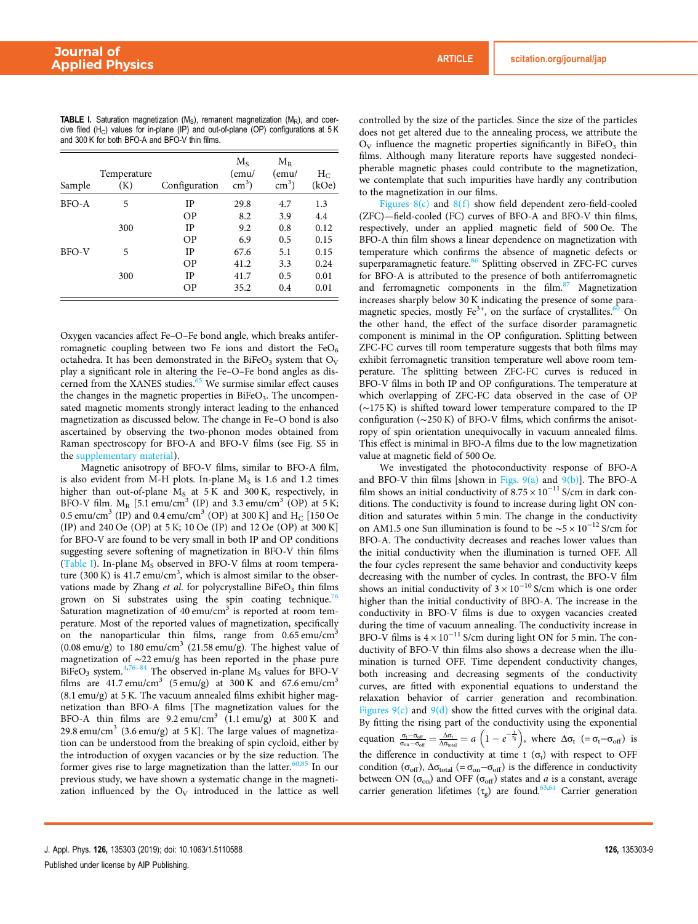| Sample       | Temperature<br>(K) | Configuration | $M_{S}$<br>(emu/<br>$\text{cm}^3$ ) | $M_{R}$<br>(emu/<br>$\text{cm}^3$ ) | $H_C$<br>(kOe) |
|--------------|--------------------|---------------|-------------------------------------|-------------------------------------|----------------|
| <b>BFO-A</b> | 5                  | IP            | 29.8                                | 4.7                                 | 1.3            |
|              |                    | <b>OP</b>     | 8.2                                 | 3.9                                 | 4.4            |
|              | 300                | IP            | 9.2                                 | 0.8                                 | 0.12           |
|              |                    | <b>OP</b>     | 6.9                                 | 0.5                                 | 0.15           |
| <b>BFO-V</b> | 5                  | <b>IP</b>     | 67.6                                | 5.1                                 | 0.15           |
|              |                    | OΡ            | 41.2                                | 3.3                                 | 0.24           |
|              | 300                | <b>IP</b>     | 41.7                                | 0.5                                 | 0.01           |
|              |                    | ΟP            | 35.2                                | 0.4                                 | 0.01           |

**TABLE I.** Saturation magnetization  $(M<sub>S</sub>)$ , remanent magnetization  $(M<sub>R</sub>)$ , and coercive filed (H<sub>C</sub>) values for in-plane (IP) and out-of-plane (OP) configurations at  $5$  K and 300 K for both BFO-A and BFO-V thin films.

Oxygen vacancies affect Fe–O–Fe bond angle, which breaks antiferromagnetic coupling between two Fe ions and distort the  $FeO<sub>6</sub>$ octahedra. It has been demonstrated in the BiFeO<sub>3</sub> system that  $O_V$ play a significant role in altering the Fe–O–Fe bond angles as discerned from the XANES studies.<sup>65</sup> We surmise similar effect causes the changes in the magnetic properties in  $BireO<sub>3</sub>$ . The uncompensated magnetic moments strongly interact leading to the enhanced magnetization as discussed below. The change in Fe–O bond is also ascertained by observing the two-phonon modes obtained from Raman spectroscopy for BFO-A and BFO-V films (see Fig. S5 in the supplementary material).

Magnetic anisotropy of BFO-V films, similar to BFO-A film, is also evident from M-H plots. In-plane  $M<sub>S</sub>$  is 1.6 and 1.2 times higher than out-of-plane  $M<sub>S</sub>$  at 5 K and 300 K, respectively, in BFO-V film.  $M_R$  [5.1 emu/cm<sup>3</sup> (IP) and 3.3 emu/cm<sup>3</sup> (OP) at 5 K; 0.5 emu/cm $^3$  (IP) and 0.4 emu/cm $^3$  (OP) at 300 K] and  $\rm H_{C}$  [150 Oe (IP) and 240 Oe (OP) at 5 K; 10 Oe (IP) and 12 Oe (OP) at 300 K] for BFO-V are found to be very small in both IP and OP conditions suggesting severe softening of magnetization in BFO-V thin films (Table I). In-plane  $M_S$  observed in BFO-V films at room temperature (300 K) is  $41.7 \text{ emu/cm}^3$ , which is almost similar to the observations made by Zhang et al. for polycrystalline BiFeO<sub>3</sub> thin films grown on Si substrates using the spin coating technique.<sup>76</sup> Saturation magnetization of 40 emu/cm<sup>3</sup> is reported at room temperature. Most of the reported values of magnetization, specifically on the nanoparticular thin films, range from  $0.65 \text{ emu/cm}^3$  $(0.08 \text{ emu/g})$  to 180 emu/cm<sup>3</sup> (21.58 emu/g). The highest value of magnetization of ∼22 emu/g has been reported in the phase pure  $B$ iFeO<sub>3</sub> system.<sup>4,76–84</sup> The observed in-plane M<sub>S</sub> values for BFO-V films are  $41.7 \text{ emu/cm}^3$  (5 emu/g) at  $300 \text{ K}$  and  $67.6 \text{ emu/cm}^3$ (8.1 emu/g) at 5 K. The vacuum annealed films exhibit higher magnetization than BFO-A films [The magnetization values for the BFO-A thin films are  $9.2 \text{ emu/cm}^3$  (1.1 emu/g) at 300 K and 29.8 emu/cm<sup>3</sup> (3.6 emu/g) at 5 K]. The large values of magnetization can be understood from the breaking of spin cycloid, either by the introduction of oxygen vacancies or by the size reduction. The former gives rise to large magnetization than the latter.<sup>60,85</sup> In our previous study, we have shown a systematic change in the magnetization influenced by the  $O_V$  introduced in the lattice as well controlled by the size of the particles. Since the size of the particles does not get altered due to the annealing process, we attribute the  $O_V$  influence the magnetic properties significantly in BiFe $O_3$  thin films. Although many literature reports have suggested nondecipherable magnetic phases could contribute to the magnetization, we contemplate that such impurities have hardly any contribution to the magnetization in our films.

Figures  $8(c)$  and  $8(f)$  show field dependent zero-field-cooled (ZFC)—field-cooled (FC) curves of BFO-A and BFO-V thin films, respectively, under an applied magnetic field of 500 Oe. The BFO-A thin film shows a linear dependence on magnetization with temperature which confirms the absence of magnetic defects or superparamagnetic feature.<sup>86</sup> Splitting observed in ZFC-FC curves for BFO-A is attributed to the presence of both antiferromagnetic and ferromagnetic components in the film.<sup>87</sup> Magnetization increases sharply below 30 K indicating the presence of some paramagnetic species, mostly  $Fe^{3+}$ , on the surface of crystallites.<sup>60</sup> On the other hand, the effect of the surface disorder paramagnetic component is minimal in the OP configuration. Splitting between ZFC-FC curves till room temperature suggests that both films may exhibit ferromagnetic transition temperature well above room temperature. The splitting between ZFC-FC curves is reduced in BFO-V films in both IP and OP configurations. The temperature at which overlapping of ZFC-FC data observed in the case of OP (∼175 K) is shifted toward lower temperature compared to the IP configuration (∼250 K) of BFO-V films, which confirms the anisotropy of spin orientation unequivocally in vacuum annealed films. This effect is minimal in BFO-A films due to the low magnetization value at magnetic field of 500 Oe.

We investigated the photoconductivity response of BFO-A and BFO-V thin films [shown in Figs.  $9(a)$  and  $9(b)$ ]. The BFO-A film shows an initial conductivity of  $8.75 \times 10^{-11}$  S/cm in dark conditions. The conductivity is found to increase during light ON condition and saturates within 5 min. The change in the conductivity on AM1.5 one Sun illumination is found to be ∼5 × 10−<sup>12</sup> S/cm for BFO-A. The conductivity decreases and reaches lower values than the initial conductivity when the illumination is turned OFF. All the four cycles represent the same behavior and conductivity keeps decreasing with the number of cycles. In contrast, the BFO-V film shows an initial conductivity of  $3 \times 10^{-10}$  S/cm which is one order higher than the initial conductivity of BFO-A. The increase in the conductivity in BFO-V films is due to oxygen vacancies created during the time of vacuum annealing. The conductivity increase in BFO-V films is  $4 \times 10^{-11}$  S/cm during light ON for 5 min. The conductivity of BFO-V thin films also shows a decrease when the illumination is turned OFF. Time dependent conductivity changes, both increasing and decreasing segments of the conductivity curves, are fitted with exponential equations to understand the relaxation behavior of carrier generation and recombination. Figures  $9(c)$  and  $9(d)$  show the fitted curves with the original data. By fitting the rising part of the conductivity using the exponential equation  $\frac{\sigma_t - \sigma_{off}}{\sigma_{on} - \sigma_{off}} = \frac{\Delta \sigma_t}{\Delta \sigma_{total}} = a \left(1 - e^{-\frac{t}{\tau_g}}\right)$ , where  $\Delta \sigma_t$   $(= \sigma_t - \sigma_{off})$  is the difference in conductivity at time t  $(\sigma_t)$  with respect to OFF condition ( $\sigma_{off}$ ),  $\Delta \sigma_{total}$  (=  $\sigma_{on} - \sigma_{off}$ ) is the difference in conductivity between ON ( $\sigma_{\text{on}}$ ) and OFF ( $\sigma_{\text{off}}$ ) states and a is a constant, average carrier generation lifetimes  $(\tau_g)$  are found.<sup>63,64</sup> Carrier generation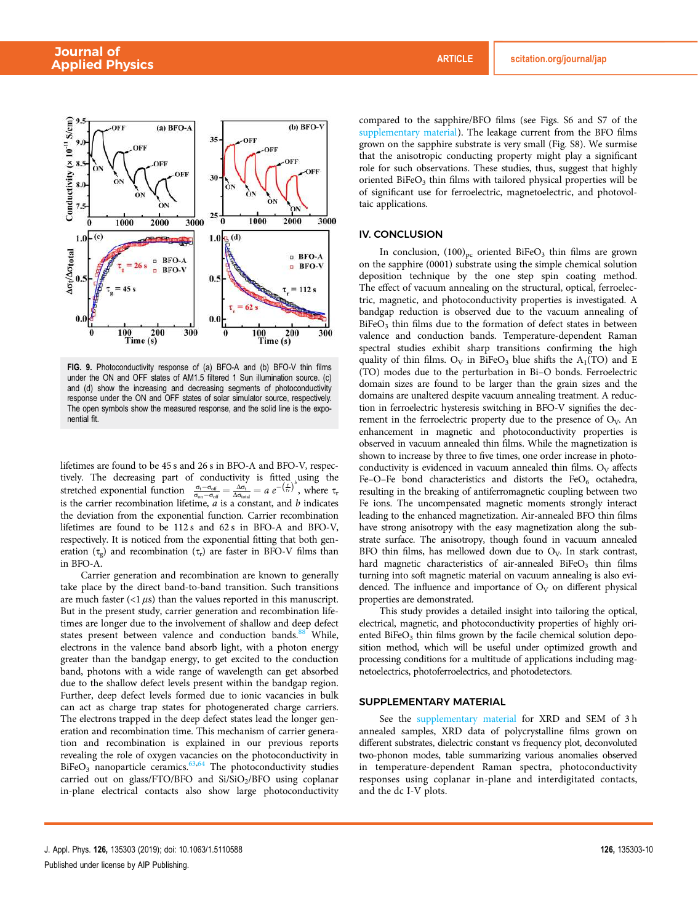

FIG. 9. Photoconductivity response of (a) BFO-A and (b) BFO-V thin films under the ON and OFF states of AM1.5 filtered 1 Sun illumination source. (c) and (d) show the increasing and decreasing segments of photoconductivity response under the ON and OFF states of solar simulator source, respectively. The open symbols show the measured response, and the solid line is the exponential fit.

lifetimes are found to be 45 s and 26 s in BFO-A and BFO-V, respectively. The decreasing part of conductivity is fitted using the stretched exponential function  $\frac{\sigma_t - \sigma_{\text{off}}}{\sigma_{\text{on}} - \sigma_{\text{off}}} = \frac{\Delta \sigma_t}{\Delta \sigma_{\text{total}}} = a e^{-\left(\frac{L}{\tau_r}\right)^b}$ , where  $\tau_r$ is the carrier recombination lifetime,  $\vec{a}$  is a constant, and  $\vec{b}$  indicates the deviation from the exponential function. Carrier recombination lifetimes are found to be 112 s and 62 s in BFO-A and BFO-V, respectively. It is noticed from the exponential fitting that both generation  $(\tau_g)$  and recombination  $(\tau_r)$  are faster in BFO-V films than in BFO-A.

Carrier generation and recombination are known to generally take place by the direct band-to-band transition. Such transitions are much faster  $\left($  <1  $\mu$ s) than the values reported in this manuscript. But in the present study, carrier generation and recombination lifetimes are longer due to the involvement of shallow and deep defect states present between valence and conduction bands.<sup>88</sup> While, electrons in the valence band absorb light, with a photon energy greater than the bandgap energy, to get excited to the conduction band, photons with a wide range of wavelength can get absorbed due to the shallow defect levels present within the bandgap region. Further, deep defect levels formed due to ionic vacancies in bulk can act as charge trap states for photogenerated charge carriers. The electrons trapped in the deep defect states lead the longer generation and recombination time. This mechanism of carrier generation and recombination is explained in our previous reports revealing the role of oxygen vacancies on the photoconductivity in  $B$ iFeO<sub>3</sub> nanoparticle ceramics.<sup>63,64</sup> The photoconductivity studies carried out on glass/FTO/BFO and Si/SiO<sub>2</sub>/BFO using coplanar in-plane electrical contacts also show large photoconductivity compared to the sapphire/BFO films (see Figs. S6 and S7 of the supplementary material). The leakage current from the BFO films grown on the sapphire substrate is very small (Fig. S8). We surmise that the anisotropic conducting property might play a significant role for such observations. These studies, thus, suggest that highly oriented BiFeO<sub>3</sub> thin films with tailored physical properties will be of significant use for ferroelectric, magnetoelectric, and photovoltaic applications.

## IV. CONCLUSION

In conclusion,  $(100)_{\text{pc}}$  oriented BiFeO<sub>3</sub> thin films are grown on the sapphire (0001) substrate using the simple chemical solution deposition technique by the one step spin coating method. The effect of vacuum annealing on the structural, optical, ferroelectric, magnetic, and photoconductivity properties is investigated. A bandgap reduction is observed due to the vacuum annealing of  $B$ i $FeO<sub>3</sub>$  thin films due to the formation of defect states in between valence and conduction bands. Temperature-dependent Raman spectral studies exhibit sharp transitions confirming the high quality of thin films. O<sub>V</sub> in BiFeO<sub>3</sub> blue shifts the  $A_1(TO)$  and E (TO) modes due to the perturbation in Bi–O bonds. Ferroelectric domain sizes are found to be larger than the grain sizes and the domains are unaltered despite vacuum annealing treatment. A reduction in ferroelectric hysteresis switching in BFO-V signifies the decrement in the ferroelectric property due to the presence of  $O_V$ . An enhancement in magnetic and photoconductivity properties is observed in vacuum annealed thin films. While the magnetization is shown to increase by three to five times, one order increase in photoconductivity is evidenced in vacuum annealed thin films.  $O_V$  affects Fe–O–Fe bond characteristics and distorts the FeO $_6$  octahedra, resulting in the breaking of antiferromagnetic coupling between two Fe ions. The uncompensated magnetic moments strongly interact leading to the enhanced magnetization. Air-annealed BFO thin films have strong anisotropy with the easy magnetization along the substrate surface. The anisotropy, though found in vacuum annealed BFO thin films, has mellowed down due to  $O<sub>V</sub>$ . In stark contrast, hard magnetic characteristics of air-annealed  $BiFeO<sub>3</sub>$  thin films turning into soft magnetic material on vacuum annealing is also evidenced. The influence and importance of  $O_V$  on different physical properties are demonstrated.

This study provides a detailed insight into tailoring the optical, electrical, magnetic, and photoconductivity properties of highly oriented BiFeO<sub>3</sub> thin films grown by the facile chemical solution deposition method, which will be useful under optimized growth and processing conditions for a multitude of applications including magnetoelectrics, photoferroelectrics, and photodetectors.

#### SUPPLEMENTARY MATERIAL

See the supplementary material for XRD and SEM of 3 h annealed samples, XRD data of polycrystalline films grown on different substrates, dielectric constant vs frequency plot, deconvoluted two-phonon modes, table summarizing various anomalies observed in temperature-dependent Raman spectra, photoconductivity responses using coplanar in-plane and interdigitated contacts, and the dc I-V plots.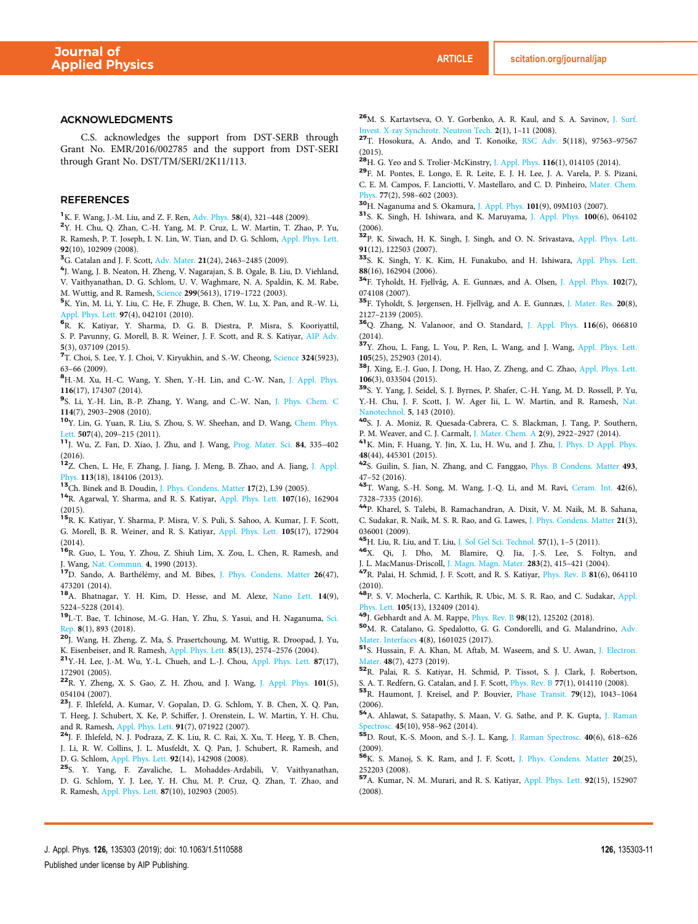#### ACKNOWLEDGMENTS

C.S. acknowledges the support from DST-SERB through Grant No. EMR/2016/002785 and the support from DST-SERI through Grant No. DST/TM/SERI/2K11/113.

## REFERENCES

<sup>1</sup>K. F. Wang, J.-M. Liu, and Z. F. Ren, Adv. Phys. 58(4), 321–448 (2009).

2 Y. H. Chu, Q. Zhan, C.-H. Yang, M. P. Cruz, L. W. Martin, T. Zhao, P. Yu, R. Ramesh, P. T. Joseph, I. N. Lin, W. Tian, and D. G. Schlom, Appl. Phys. Lett. 92(10), 102909 (2008).

<sup>3</sup>G. Catalan and J. F. Scott, Adv. Mater. 21(24), 2463-2485 (2009).

4 J. Wang, J. B. Neaton, H. Zheng, V. Nagarajan, S. B. Ogale, B. Liu, D. Viehland, V. Vaithyanathan, D. G. Schlom, U. V. Waghmare, N. A. Spaldin, K. M. Rabe, M. Wuttig, and R. Ramesh, Science 299(5613), 1719–1722 (2003).

<sup>5</sup>K. Yin, M. Li, Y. Liu, C. He, F. Zhuge, B. Chen, W. Lu, X. Pan, and R.-W. Li, Appl. Phys. Lett. 97(4), 042101 (2010).

6 R. K. Katiyar, Y. Sharma, D. G. B. Diestra, P. Misra, S. Kooriyattil, S. P. Pavunny, G. Morell, B. R. Weiner, J. F. Scott, and R. S. Katiyar, AIP Adv. 5(3), 037109 (2015).

<sup>7</sup>T. Choi, S. Lee, Y. J. Choi, V. Kiryukhin, and S.-W. Cheong, *Science* 324(5923), 63–66 (2009).

<sup>8</sup>H.-M. Xu, H.-C. Wang, Y. Shen, Y.-H. Lin, and C.-W. Nan, J. Appl. Phys. 116(17), 174307 (2014).

9 S. Li, Y.-H. Lin, B.-P. Zhang, Y. Wang, and C.-W. Nan, J. Phys. Chem. C 114(7), 2903–2908 (2010).

<sup>10</sup>Y. Lin, G. Yuan, R. Liu, S. Zhou, S. W. Sheehan, and D. Wang, Chem. Phys. Lett. 507(4), 209-215 (2011).

<sup>11</sup>J. Wu, Z. Fan, D. Xiao, J. Zhu, and J. Wang, Prog. Mater. Sci. 84, 335–402 (2016).

<sup>12</sup>Z. Chen, L. He, F. Zhang, J. Jiang, J. Meng, B. Zhao, and A. Jiang, J. Appl. Phys. 113(18), 184106 (2013).

<sup>13</sup>Ch. Binek and B. Doudin, J. Phys. Condens. Matter 17(2), L39 (2005).

<sup>14</sup>R. Agarwal, Y. Sharma, and R. S. Katiyar, Appl. Phys. Lett. 107(16), 162904 (2015).

<sup>15</sup>R. K. Katiyar, Y. Sharma, P. Misra, V. S. Puli, S. Sahoo, A. Kumar, J. F. Scott, G. Morell, B. R. Weiner, and R. S. Katiyar, Appl. Phys. Lett. 105(17), 172904 (2014).

<sup>16</sup>R. Guo, L. You, Y. Zhou, Z. Shiuh Lim, X. Zou, L. Chen, R. Ramesh, and J. Wang, Nat. Commun. 4, 1990 (2013).

<sup>17</sup>D. Sando, A. Barthélémy, and M. Bibes, J. Phys. Condens. Matter 26(47), 473201 (2014).

<sup>18</sup>A. Bhatnagar, Y. H. Kim, D. Hesse, and M. Alexe, Nano Lett. 14(9), 5224–5228 (2014).

<sup>19</sup>I.-T. Bae, T. Ichinose, M.-G. Han, Y. Zhu, S. Yasui, and H. Naganuma, Sci. Rep. 8(1), 893 (2018).

<sup>20</sup>J. Wang, H. Zheng, Z. Ma, S. Prasertchoung, M. Wuttig, R. Droopad, J. Yu, K. Eisenbeiser, and R. Ramesh, Appl. Phys. Lett. 85(13), 2574–2576 (2004).

<sup>21</sup>Y.-H. Lee, J.-M. Wu, Y.-L. Chueh, and L.-J. Chou, Appl. Phys. Lett. 87(17), 172901 (2005).

<sup>22</sup>R. Y. Zheng, X. S. Gao, Z. H. Zhou, and J. Wang, J. Appl. Phys. 101(5), 054104 (2007).

<sup>23</sup>J. F. Ihlefeld, A. Kumar, V. Gopalan, D. G. Schlom, Y. B. Chen, X. Q. Pan, T. Heeg, J. Schubert, X. Ke, P. Schiffer, J. Orenstein, L. W. Martin, Y. H. Chu, and R. Ramesh, Appl. Phys. Lett. 91(7), 071922 (2007).

<sup>24</sup>J. F. Ihlefeld, N. J. Podraza, Z. K. Liu, R. C. Rai, X. Xu, T. Heeg, Y. B. Chen, J. Li, R. W. Collins, J. L. Musfeldt, X. Q. Pan, J. Schubert, R. Ramesh, and D. G. Schlom, Appl. Phys. Lett. 92(14), 142908 (2008).

<sup>25</sup>S. Y. Yang, F. Zavaliche, L. Mohaddes-Ardabili, V. Vaithyanathan, D. G. Schlom, Y. J. Lee, Y. H. Chu, M. P. Cruz, Q. Zhan, T. Zhao, and R. Ramesh, Appl. Phys. Lett. 87(10), 102903 (2005).

<sup>26</sup>M. S. Kartavtseva, O. Y. Gorbenko, A. R. Kaul, and S. A. Savinov, J. Surf. Invest. X-ray Synchrotr. Neutron Tech. 2(1), 1–11 (2008).

<sup>27</sup>T. Hosokura, A. Ando, and T. Konoike, RSC Adv. 5(118), 97563–97567  $(2015)$ 

 $28H$ . G. Yeo and S. Trolier-McKinstry, J. Appl. Phys. 116(1), 014105 (2014).

<sup>29</sup>F. M. Pontes, E. Longo, E. R. Leite, E. J. H. Lee, J. A. Varela, P. S. Pizani, C. E. M. Campos, F. Lanciotti, V. Mastellaro, and C. D. Pinheiro, Mater. Chem. Phys. 77(2), 598–602 (2003).

<sup>30</sup>H. Naganuma and S. Okamura, J. Appl. Phys. 101(9), 09M103 (2007).

<sup>31</sup>S. K. Singh, H. Ishiwara, and K. Maruyama, J. Appl. Phys. 100(6), 064102 (2006).

<sup>32</sup>P. K. Siwach, H. K. Singh, J. Singh, and O. N. Srivastava, Appl. Phys. Lett. 91(12), 122503 (2007).

<sup>33</sup>S. K. Singh, Y. K. Kim, H. Funakubo, and H. Ishiwara, Appl. Phys. Lett. 88(16), 162904 (2006).

<sup>34</sup>F. Tyholdt, H. Fjellvåg, A. E. Gunnæs, and A. Olsen, J. Appl. Phys. 102(7), 074108 (2007).

<sup>35</sup>F. Tyholdt, S. Jørgensen, H. Fjellvåg, and A. E. Gunnæs, J. Mater. Res. 20(8), 2127–2139 (2005).

<sup>36</sup>Q. Zhang, N. Valanoor, and O. Standard, J. Appl. Phys. 116(6), 066810 (2014).

<sup>37</sup>Y. Zhou, L. Fang, L. You, P. Ren, L. Wang, and J. Wang, Appl. Phys. Lett. 105(25), 252903 (2014).

<sup>38</sup>J. Xing, E.-J. Guo, J. Dong, H. Hao, Z. Zheng, and C. Zhao, Appl. Phys. Lett. 106(3), 033504 (2015).

<sup>39</sup>S. Y. Yang, J. Seidel, S. J. Byrnes, P. Shafer, C.-H. Yang, M. D. Rossell, P. Yu, Y.-H. Chu, J. F. Scott, J. W. Ager Iii, L. W. Martin, and R. Ramesh, Nat. Vanotechnol. 5, 143 (2010).

<sup>40</sup>S. J. A. Moniz, R. Quesada-Cabrera, C. S. Blackman, J. Tang, P. Southern, P. M. Weaver, and C. J. Carmalt, J. Mater. Chem. A 2(9), 2922–2927 (2014).

<sup>41</sup>K. Min, F. Huang, Y. Jin, X. Lu, H. Wu, and J. Zhu, J. Phys. D Appl. Phys. 48(44), 445301 (2015).

<sup>42</sup>S. Guilin, S. Jian, N. Zhang, and C. Fanggao, Phys. B Condens. Matter 493, 47–52 (2016).

<sup>43</sup>T. Wang, S.-H. Song, M. Wang, J.-Q. Li, and M. Ravi, Ceram. Int. 42(6), 7328–7335 (2016).

<sup>44</sup>P. Kharel, S. Talebi, B. Ramachandran, A. Dixit, V. M. Naik, M. B. Sahana, C. Sudakar, R. Naik, M. S. R. Rao, and G. Lawes, J. Phys. Condens. Matter 21(3), 036001 (2009).

<sup>45</sup>H. Liu, R. Liu, and T. Liu, J. Sol Gel Sci. Technol. 57(1), 1–5 (2011).

<sup>46</sup>X. Qi, J. Dho, M. Blamire, Q. Jia, J.-S. Lee, S. Foltyn, and J. L. MacManus-Driscoll, J. Magn. Magn. Mater. 283(2), 415–421 (2004).

<sup>47</sup>R. Palai, H. Schmid, J. F. Scott, and R. S. Katiyar, Phys. Rev. B 81(6), 064110 (2010).

<sup>48</sup>P. S. V. Mocherla, C. Karthik, R. Ubic, M. S. R. Rao, and C. Sudakar, Appl. Phys. Lett. 105(13), 132409 (2014).

<sup>49</sup>J. Gebhardt and A. M. Rappe, Phys. Rev. B 98(12), 125202 (2018).

<sup>50</sup>M. R. Catalano, G. Spedalotto, G. G. Condorelli, and G. Malandrino, Adv. Mater. Interfaces 4(8), 1601025 (2017).

<sup>51</sup>S. Hussain, F. A. Khan, M. Aftab, M. Waseem, and S. U. Awan, J. Electron. Mater. 48(7), 4273 (2019).

<sup>52</sup>R. Palai, R. S. Katiyar, H. Schmid, P. Tissot, S. J. Clark, J. Robertson,

S. A. T. Redfern, G. Catalan, and J. F. Scott, Phys. Rev. B 77(1), 014110 (2008).

<sup>53</sup>R. Haumont, J. Kreisel, and P. Bouvier, Phase Transit. 79(12), 1043–1064 (2006).

<sup>54</sup>A. Ahlawat, S. Satapathy, S. Maan, V. G. Sathe, and P. K. Gupta, J. Raman bectrosc. 45(10), 958-962 (2014).

<sup>55</sup>D. Rout, K.-S. Moon, and S.-J. L. Kang, J. Raman Spectrosc. 40(6), 618–626 (2009).

<sup>56</sup>K. S. Manoj, S. K. Ram, and J. F. Scott, J. Phys. Condens. Matter 20(25), 252203 (2008).

<sup>57</sup>A. Kumar, N. M. Murari, and R. S. Katiyar, Appl. Phys. Lett. 92(15), 152907 (2008).